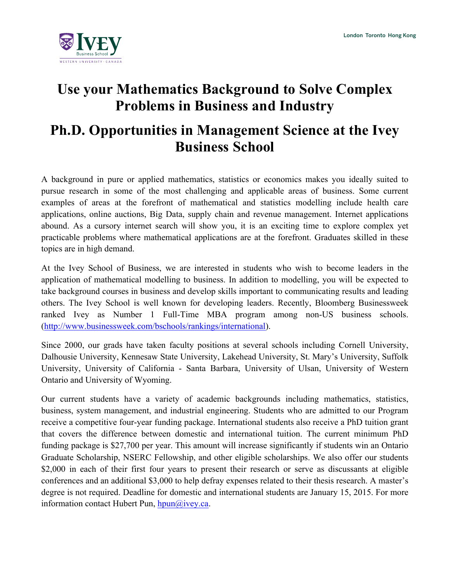

## **Use your Mathematics Background to Solve Complex Problems in Business and Industry**

## **Ph.D. Opportunities in Management Science at the Ivey Business School**

A background in pure or applied mathematics, statistics or economics makes you ideally suited to pursue research in some of the most challenging and applicable areas of business. Some current examples of areas at the forefront of mathematical and statistics modelling include health care applications, online auctions, Big Data, supply chain and revenue management. Internet applications abound. As a cursory internet search will show you, it is an exciting time to explore complex yet practicable problems where mathematical applications are at the forefront. Graduates skilled in these topics are in high demand.

At the Ivey School of Business, we are interested in students who wish to become leaders in the application of mathematical modelling to business. In addition to modelling, you will be expected to take background courses in business and develop skills important to communicating results and leading others. The Ivey School is well known for developing leaders. Recently, Bloomberg Businessweek ranked Ivey as Number 1 Full-Time MBA program among non-US business schools. (http://www.businessweek.com/bschools/rankings/international).

Since 2000, our grads have taken faculty positions at several schools including Cornell University, Dalhousie University, Kennesaw State University, Lakehead University, St. Mary's University, Suffolk University, University of California - Santa Barbara, University of Ulsan, University of Western Ontario and University of Wyoming.

Our current students have a variety of academic backgrounds including mathematics, statistics, business, system management, and industrial engineering. Students who are admitted to our Program receive a competitive four-year funding package. International students also receive a PhD tuition grant that covers the difference between domestic and international tuition. The current minimum PhD funding package is \$27,700 per year. This amount will increase significantly if students win an Ontario Graduate Scholarship, NSERC Fellowship, and other eligible scholarships. We also offer our students \$2,000 in each of their first four years to present their research or serve as discussants at eligible conferences and an additional \$3,000 to help defray expenses related to their thesis research. A master's degree is not required. Deadline for domestic and international students are January 15, 2015. For more information contact Hubert Pun,  $hpun(Q)$ ivey.ca.